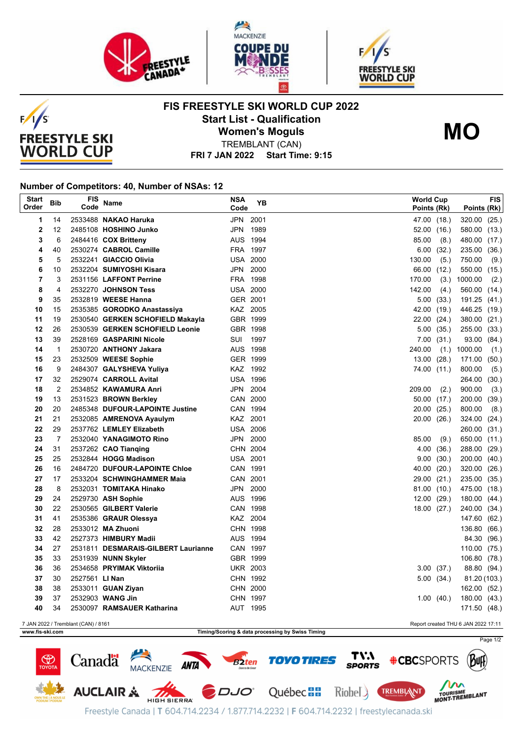





## **FIS FREESTYLE SKI WORLD CUP 2022 Start List - Qualification Women's Moguls**



TREMBLANT (CAN)

**FRI 7 JAN 2022 Start Time: 9:15**

## **Number of Competitors: 40, Number of NSAs: 12**

 $F/1/S$ 

**FREESTYLE SKI WORLD CUP** 

| <b>Start</b><br>Order                                                      | Bib            | FIS<br>Code    | Name                                | <b>NSA</b><br>Code | YB   |        | <b>World Cup</b><br>Points (Rk) | Points (Rk)    | <b>FIS</b> |
|----------------------------------------------------------------------------|----------------|----------------|-------------------------------------|--------------------|------|--------|---------------------------------|----------------|------------|
| 1                                                                          | 14             |                | 2533488 NAKAO Haruka                | JPN 2001           |      |        | 47.00 (18.)                     | 320.00 (25.)   |            |
| $\mathbf 2$                                                                | 12             |                | 2485108 HOSHINO Junko               | JPN 1989           |      | 52.00  | (16.)                           | 580.00 (13.)   |            |
| 3                                                                          | 6              |                | 2484416 COX Britteny                | AUS 1994           |      | 85.00  | (8.)                            | 480.00 (17.)   |            |
| 4                                                                          | 40             |                | 2530274 CABROL Camille              | FRA 1997           |      | 6.00   | (32.)                           | 235.00 (36.)   |            |
| 5                                                                          | 5              |                | 2532241 GIACCIO Olivia              | <b>USA 2000</b>    |      | 130.00 | (5.)                            | 750.00         | (9.)       |
| 6                                                                          | 10             |                | 2532204 SUMIYOSHI Kisara            | JPN                | 2000 |        | 66.00 (12.)                     | 550.00 (15.)   |            |
| $\overline{7}$                                                             | 3              |                | 2531156 LAFFONT Perrine             | FRA 1998           |      | 170.00 | (3.)                            | 1000.00        | (2.)       |
| 8                                                                          | 4              |                | 2532270 JOHNSON Tess                | <b>USA 2000</b>    |      | 142.00 | (4.)                            | 560.00 (14.)   |            |
| 9                                                                          | 35             |                | 2532819 WEESE Hanna                 | GER 2001           |      |        | 5.00(33)                        | 191.25 (41.)   |            |
| 10                                                                         | 15             |                | 2535385 GORODKO Anastassiya         | KAZ 2005           |      | 42.00  | (19.)                           | 446.25 (19.)   |            |
| 11                                                                         | 19             |                | 2530540 GERKEN SCHOFIELD Makayla    | GBR 1999           |      |        | 22.00 (24.)                     | 380.00 (21.)   |            |
| 12                                                                         | 26             |                | 2530539 GERKEN SCHOFIELD Leonie     | GBR 1998           |      |        | 5.00(35.)                       | 255.00 (33.)   |            |
| 13                                                                         | 39             |                | 2528169 GASPARINI Nicole            | SUI 1997           |      |        | 7.00(31)                        | 93.00 (84.)    |            |
| 14                                                                         | $\overline{1}$ |                | 2530720 ANTHONY Jakara              | AUS 1998           |      | 240.00 |                                 | $(1.)$ 1000.00 | (1.)       |
| 15                                                                         | 23             |                | 2532509 WEESE Sophie                | GER 1999           |      |        | 13.00(28.)                      | 171.00 (50.)   |            |
| 16                                                                         | 9              |                | 2484307 GALYSHEVA Yuliya            | KAZ 1992           |      |        | 74.00 (11.)                     | 800.00         | (5.)       |
| 17                                                                         | 32             |                | 2529074 CARROLL Avital              | <b>USA 1996</b>    |      |        |                                 | 264.00         | (30.)      |
| 18                                                                         | 2              |                | 2534852 KAWAMURA Anri               | JPN 2004           |      | 209.00 | (2.)                            | 900.00         | (3.)       |
| 19                                                                         | 13             |                | 2531523 BROWN Berkley               | CAN 2000           |      |        | 50.00 (17.)                     | 200.00 (39.)   |            |
| 20                                                                         | 20             |                | 2485348 DUFOUR-LAPOINTE Justine     | CAN 1994           |      |        | 20.00(25.)                      | 800.00         | (8.)       |
| 21                                                                         | 21             |                | 2532085 AMRENOVA Ayaulym            | KAZ 2001           |      | 20.00  | (26.)                           | 324.00         | (24.)      |
| 22                                                                         | 29             |                | 2537762 LEMLEY Elizabeth            | <b>USA 2006</b>    |      |        |                                 | 260.00 (31.)   |            |
| 23                                                                         | 7              |                | 2532040 YANAGIMOTO Rino             | JPN 2000           |      | 85.00  | (9.)                            | 650.00 (11.)   |            |
| 24                                                                         | 31             |                | 2537262 CAO Tianqing                | CHN 2004           |      | 4.00   | (36.)                           | 288.00 (29.)   |            |
| 25                                                                         | 25             |                | 2532844 HOGG Madison                | <b>USA 2001</b>    |      | 9.00   | (30.)                           | 200.00 (40.)   |            |
| 26                                                                         | 16             |                | 2484720 DUFOUR-LAPOINTE Chloe       | CAN 1991           |      |        | 40.00 (20.)                     | 320.00 (26.)   |            |
| 27                                                                         | 17             |                | 2533204 SCHWINGHAMMER Maia          | CAN 2001           |      | 29.00  | (21.)                           | 235.00 (35.)   |            |
| 28                                                                         | 8              |                | 2532031 TOMITAKA Hinako             | JPN 2000           |      |        | 81.00 (10.)                     | 475.00 (18.)   |            |
| 29                                                                         | 24             |                | 2529730 ASH Sophie                  | AUS 1996           |      | 12.00  | (29.)                           | 180.00 (44.)   |            |
| 30                                                                         | 22             |                | 2530565 GILBERT Valerie             | CAN 1998           |      |        | 18.00 (27.)                     | 240.00 (34.)   |            |
| 31                                                                         | 41             |                | 2535386 GRAUR Olessya               | KAZ 2004           |      |        |                                 | 147.60 (62.)   |            |
| 32                                                                         | 28             |                | 2533012 MA Zhuoni                   | CHN 1998           |      |        |                                 | 136.80 (66.)   |            |
| 33                                                                         | 42             |                | 2527373 HIMBURY Madii               | AUS 1994           |      |        |                                 | 84.30 (96.)    |            |
| 34                                                                         | 27             |                | 2531811 DESMARAIS-GILBERT Laurianne | CAN 1997           |      |        |                                 | 110.00 (75.)   |            |
| 35                                                                         | 33             |                | 2531939 NUNN Skyler                 | GBR 1999           |      |        |                                 | 106.80 (78.)   |            |
| 36                                                                         | 36             |                | 2534658 PRYIMAK Viktoriia           | <b>UKR 2003</b>    |      |        | 3.00(37.)                       | 88.80 (94.)    |            |
| 37                                                                         | 30             | 2527561 LI Nan |                                     | CHN 1992           |      |        | 5.00(34)                        | 81.20 (103.)   |            |
| 38                                                                         | 38             |                | 2533011 GUAN Ziyan                  | CHN 2000           |      |        |                                 | 162.00 (52.)   |            |
| 39                                                                         | 37             |                | 2532903 WANG Jin                    | CHN 1997           |      |        | 1.00(40.)                       | 180.00 (43.)   |            |
| 40                                                                         | 34             |                | 2530097 RAMSAUER Katharina          | AUT 1995           |      |        |                                 | 171.50 (48.)   |            |
| 7 JAN 2022 / Tremblant (CAN) / 8161<br>Report created THU 6 JAN 2022 17:11 |                |                |                                     |                    |      |        |                                 |                |            |

**www.fis-ski.com Timing/Scoring & data processing by Swiss Timing**